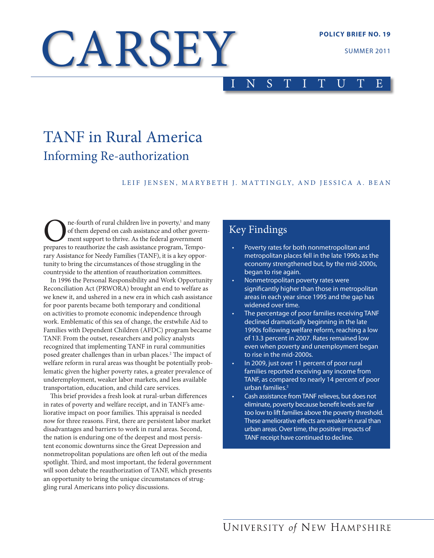# CARSEY

SUMMER 2011

# I N S T I T U T E

# TANF in Rural America Informing Re-authorization

#### LEIF JENSEN, MARYBETH J. MATTINGLY, AND JESSICA A. BEAN

**ORE:** The-fourth of rural children live in poverty,<sup>1</sup> and mar<br>of them depend on cash assistance and other govern<br>prepares to reauthorize the cash assistance program, Tempone-fourth of rural children live in poverty,<sup>1</sup> and many of them depend on cash assistance and other government support to thrive. As the federal government rary Assistance for Needy Families (TANF), it is a key opportunity to bring the circumstances of those struggling in the countryside to the attention of reauthorization committees.

In 1996 the Personal Responsibility and Work Opportunity Reconciliation Act (PRWORA) brought an end to welfare as we knew it, and ushered in a new era in which cash assistance for poor parents became both temporary and conditional on activities to promote economic independence through work. Emblematic of this sea of change, the erstwhile Aid to Families with Dependent Children (AFDC) program became TANF. From the outset, researchers and policy analysts recognized that implementing TANF in rural communities posed greater challenges than in urban places.<sup>2</sup> The impact of welfare reform in rural areas was thought be potentially problematic given the higher poverty rates, a greater prevalence of underemployment, weaker labor markets, and less available transportation, education, and child care services.

This brief provides a fresh look at rural-urban differences in rates of poverty and welfare receipt, and in TANF's ameliorative impact on poor families. This appraisal is needed now for three reasons. First, there are persistent labor market disadvantages and barriers to work in rural areas. Second, the nation is enduring one of the deepest and most persistent economic downturns since the Great Depression and nonmetropolitan populations are often left out of the media spotlight. Third, and most important, the federal government will soon debate the reauthorization of TANF, which presents an opportunity to bring the unique circumstances of struggling rural Americans into policy discussions.

# Key Findings

- Poverty rates for both nonmetropolitan and metropolitan places fell in the late 1990s as the economy strengthened but, by the mid-2000s, began to rise again.
- Nonmetropolitan poverty rates were significantly higher than those in metropolitan areas in each year since 1995 and the gap has widened over time.
- The percentage of poor families receiving TANF declined dramatically beginning in the late 1990s following welfare reform, reaching a low of 13.3 percent in 2007. Rates remained low even when poverty and unemployment began to rise in the mid-2000s.
- In 2009, just over 11 percent of poor rural families reported receiving any income from TANF, as compared to nearly 14 percent of poor urban families.3
- Cash assistance from TANF relieves, but does not eliminate, poverty because benefit levels are far too low to lift families above the poverty threshold. These ameliorative effects are weaker in rural than urban areas. Over time, the positive impacts of TANF receipt have continued to decline.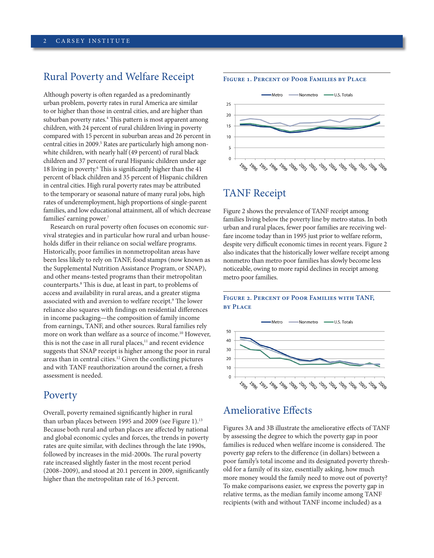## Rural Poverty and Welfare Receipt

Although poverty is often regarded as a predominantly urban problem, poverty rates in rural America are similar to or higher than those in central cities, and are higher than suburban poverty rates.<sup>4</sup> This pattern is most apparent among children, with 24 percent of rural children living in poverty compared with 15 percent in suburban areas and 26 percent in central cities in 2009.<sup>5</sup> Rates are particularly high among nonwhite children, with nearly half (49 percent) of rural black children and 37 percent of rural Hispanic children under age 18 living in poverty.<sup>6</sup> This is significantly higher than the 41 percent of black children and 35 percent of Hispanic children in central cities. High rural poverty rates may be attributed to the temporary or seasonal nature of many rural jobs, high rates of underemployment, high proportions of single-parent families, and low educational attainment, all of which decrease families' earning power.<sup>7</sup>

Research on rural poverty often focuses on economic survival strategies and in particular how rural and urban households differ in their reliance on social welfare programs. Historically, poor families in nonmetropolitan areas have been less likely to rely on TANF, food stamps (now known as the Supplemental Nutrition Assistance Program, or SNAP), and other means-tested programs than their metropolitan counterparts.8 This is due, at least in part, to problems of access and availability in rural areas, and a greater stigma associated with and aversion to welfare receipt.<sup>9</sup> The lower reliance also squares with findings on residential differences in income packaging—the composition of family income from earnings, TANF, and other sources. Rural families rely more on work than welfare as a source of income.<sup>10</sup> However, this is not the case in all rural places,<sup>11</sup> and recent evidence suggests that SNAP receipt is higher among the poor in rural areas than in central cities.<sup>12</sup> Given the conflicting pictures and with TANF reauthorization around the corner, a fresh assessment is needed.

### Poverty

Overall, poverty remained significantly higher in rural than urban places between 1995 and 2009 (see Figure 1).<sup>13</sup> Because both rural and urban places are affected by national and global economic cycles and forces, the trends in poverty rates are quite similar, with declines through the late 1990s, followed by increases in the mid-2000s. The rural poverty rate increased slightly faster in the most recent period (2008–2009), and stood at 20.1 percent in 2009, significantly higher than the metropolitan rate of 16.3 percent.

#### **Figure 1. Percent of Poor Families by Place**



# TANF Receipt

Figure 2 shows the prevalence of TANF receipt among families living below the poverty line by metro status. In both urban and rural places, fewer poor families are receiving welfare income today than in 1995 just prior to welfare reform, despite very difficult economic times in recent years. Figure 2 also indicates that the historically lower welfare receipt among nonmetro than metro poor families has slowly become less noticeable, owing to more rapid declines in receipt among metro poor families.

#### **Figure 2. Percent of Poor Families with TANF, by Place**



# Ameliorative Effects

Figures 3A and 3B illustrate the ameliorative effects of TANF by assessing the degree to which the poverty gap in poor families is reduced when welfare income is considered. The poverty gap refers to the difference (in dollars) between a poor family's total income and its designated poverty threshold for a family of its size, essentially asking, how much more money would the family need to move out of poverty? To make comparisons easier, we express the poverty gap in relative terms, as the median family income among TANF recipients (with and without TANF income included) as a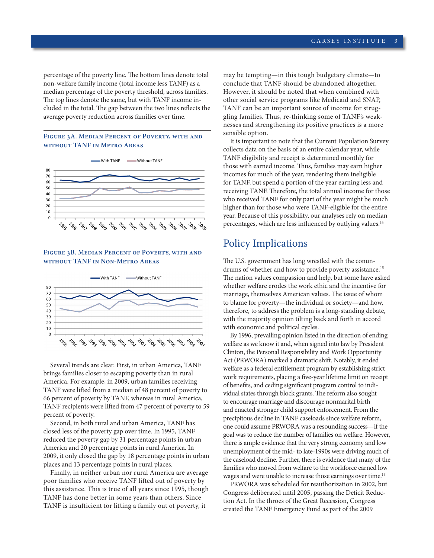percentage of the poverty line. The bottom lines denote total non-welfare family income (total income less TANF) as a median percentage of the poverty threshold, across families. The top lines denote the same, but with TANF income included in the total. The gap between the two lines reflects the average poverty reduction across families over time.

#### **Figure 3A. Median Percent of Poverty, with and without TANF in Metro Areas**



**Figure 3B. Median Percent of Poverty, with and without TANF in Non-Metro Areas**



Several trends are clear. First, in urban America, TANF brings families closer to escaping poverty than in rural America. For example, in 2009, urban families receiving TANF were lifted from a median of 48 percent of poverty to 66 percent of poverty by TANF, whereas in rural America, TANF recipients were lifted from 47 percent of poverty to 59 percent of poverty.

Second, in both rural and urban America, TANF has closed less of the poverty gap over time. In 1995, TANF reduced the poverty gap by 31 percentage points in urban America and 20 percentage points in rural America. In 2009, it only closed the gap by 18 percentage points in urban places and 13 percentage points in rural places.

Finally, in neither urban nor rural America are average poor families who receive TANF lifted out of poverty by this assistance. This is true of all years since 1995, though TANF has done better in some years than others. Since TANF is insufficient for lifting a family out of poverty, it

may be tempting—in this tough budgetary climate—to conclude that TANF should be abandoned altogether. However, it should be noted that when combined with other social service programs like Medicaid and SNAP, TANF can be an important source of income for struggling families. Thus, re-thinking some of TANF's weaknesses and strengthening its positive practices is a more sensible option.

It is important to note that the Current Population Survey collects data on the basis of an entire calendar year, while TANF eligibility and receipt is determined monthly for those with earned income. Thus, families may earn higher incomes for much of the year, rendering them ineligible for TANF, but spend a portion of the year earning less and receiving TANF. Therefore, the total annual income for those who received TANF for only part of the year might be much higher than for those who were TANF-eligible for the entire year. Because of this possibility, our analyses rely on median percentages, which are less influenced by outlying values.<sup>14</sup>

# Policy Implications

The U.S. government has long wrestled with the conundrums of whether and how to provide poverty assistance.<sup>15</sup> The nation values compassion and help, but some have asked whether welfare erodes the work ethic and the incentive for marriage, themselves American values. The issue of whom to blame for poverty—the individual or society—and how, therefore, to address the problem is a long-standing debate, with the majority opinion tilting back and forth in accord with economic and political cycles.

By 1996, prevailing opinion listed in the direction of ending welfare as we know it and, when signed into law by President Clinton, the Personal Responsibility and Work Opportunity Act (PRWORA) marked a dramatic shift. Notably, it ended welfare as a federal entitlement program by establishing strict work requirements, placing a five-year lifetime limit on receipt of benefits, and ceding significant program control to individual states through block grants. The reform also sought to encourage marriage and discourage nonmarital birth and enacted stronger child support enforcement. From the precipitous decline in TANF caseloads since welfare reform, one could assume PRWORA was a resounding success—if the goal was to reduce the number of families on welfare. However, there is ample evidence that the very strong economy and low unemployment of the mid- to late-1990s were driving much of the caseload decline. Further, there is evidence that many of the families who moved from welfare to the workforce earned low wages and were unable to increase those earnings over time.<sup>16</sup>

PRWORA was scheduled for reauthorization in 2002, but Congress deliberated until 2005, passing the Deficit Reduction Act. In the throes of the Great Recession, Congress created the TANF Emergency Fund as part of the 2009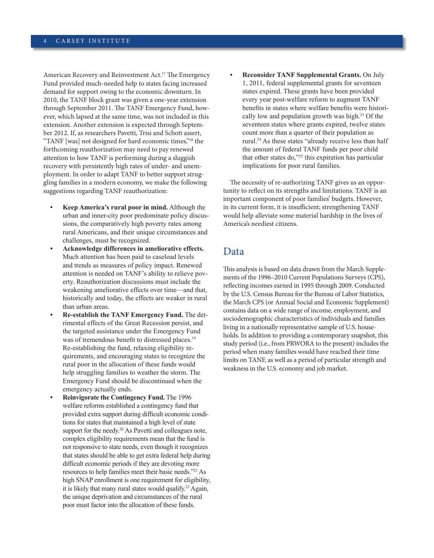American Recovery and Reinvestment Act.<sup>17</sup> The Emergency Fund provided much-needed help to states facing increased demand for support owing to the economic downturn. In 2010, the TANF block grant was given a one-year extension through September 2011. The TANF Emergency Fund, however, which lapsed at the same time, was not included in this extension. Another extension is expected through September 2012. If, as researchers Pavetti, Trisi and Schott assert, "TANF [was] not designed for hard economic times,"18 the forthcoming reauthorization may need to pay renewed attention to how TANF is performing during a sluggish recovery with persistently high rates of under- and unemployment. In order to adapt TANF to better support struggling families in a modern economy, we make the following suggestions regarding TANF reauthorization:

- **• Keep America's rural poor in mind.** Although the urban and inner-city poor predominate policy discussions, the comparatively high poverty rates among rural Americans, and their unique circumstances and challenges, must be recognized.
- **• Acknowledge differences in ameliorative effects.** Much attention has been paid to caseload levels and trends as measures of policy impact. Renewed attention is needed on TANF's ability to relieve poverty. Reauthorization discussions must include the weakening ameliorative effects over time—and that, historically and today, the effects are weaker in rural than urban areas.
- **• Re-establish the TANF Emergency Fund.** The detrimental effects of the Great Recession persist, and the targeted assistance under the Emergency Fund was of tremendous benefit to distressed places.<sup>19</sup> Re-establishing the fund, relaxing eligibility requirements, and encouraging states to recognize the rural poor in the allocation of these funds would help struggling families to weather the storm. The Emergency Fund should be discontinued when the emergency actually ends.
- **• Reinvigorate the Contingency Fund.** The 1996 welfare reforms established a contingency fund that provided extra support during difficult economic conditions for states that maintained a high level of state support for the needy.<sup>20</sup> As Pavetti and colleagues note, complex eligibility requirements mean that the fund is not responsive to state needs, even though it recognizes that states should be able to get extra federal help during difficult economic periods if they are devoting more resources to help families meet their basic needs."21 As high SNAP enrollment is one requirement for eligibility, it is likely that many rural states would qualify.22 Again, the unique deprivation and circumstances of the rural poor must factor into the allocation of these funds.

**• Reconsider TANF Supplemental Grants.** On July 1, 2011, federal supplemental grants for seventeen states expired. These grants have been provided every year post-welfare reform to augment TANF benefits in states where welfare benefits were historically low and population growth was high.<sup>23</sup> Of the seventeen states where grants expired, twelve states count more than a quarter of their population as rural.24 As these states "already receive less than half the amount of federal TANF funds per poor child that other states do,"25 this expiration has particular implications for poor rural families.

The necessity of re-authorizing TANF gives us an opportunity to reflect on its strengths and limitations. TANF is an important component of poor families' budgets. However, in its current form, it is insufficient; strengthening TANF would help alleviate some material hardship in the lives of America's neediest citizens.

## Data

This analysis is based on data drawn from the March Supplements of the 1996–2010 Current Populations Surveys (CPS), reflecting incomes earned in 1995 through 2009. Conducted by the U.S. Census Bureau for the Bureau of Labor Statistics, the March CPS (or Annual Social and Economic Supplement) contains data on a wide range of income, employment, and sociodemographic characteristics of individuals and families living in a nationally representative sample of U.S. households. In addition to providing a contemporary snapshot, this study period (i.e., from PRWORA to the present) includes the period when many families would have reached their time limits on TANF, as well as a period of particular strength and weakness in the U.S. economy and job market.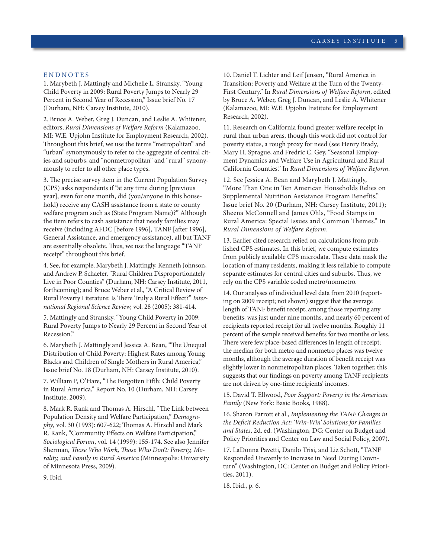#### **ENDNOTES**

1. Marybeth J. Mattingly and Michelle L. Stransky, "Young Child Poverty in 2009: Rural Poverty Jumps to Nearly 29 Percent in Second Year of Recession," Issue brief No. 17 (Durham, NH: Carsey Institute, 2010).

2. Bruce A. Weber, Greg J. Duncan, and Leslie A. Whitener, editors, *Rural Dimensions of Welfare Reform* (Kalamazoo, MI: W.E. Upjohn Institute for Employment Research, 2002). Throughout this brief, we use the terms "metropolitan" and "urban" synonymously to refer to the aggregate of central cities and suburbs, and "nonmetropolitan" and "rural" synonymously to refer to all other place types.

3. The precise survey item in the Current Population Survey (CPS) asks respondents if "at any time during [previous year], even for one month, did (you/anyone in this household) receive any CASH assistance from a state or county welfare program such as (State Program Name)?" Although the item refers to cash assistance that needy families may receive (including AFDC [before 1996], TANF [after 1996], General Assistance, and emergency assistance), all but TANF are essentially obsolete. Thus, we use the language "TANF receipt" throughout this brief.

4. See, for example, Marybeth J. Mattingly, Kenneth Johnson, and Andrew P. Schaefer, "Rural Children Disproportionately Live in Poor Counties" (Durham, NH: Carsey Institute, 2011, forthcoming); and Bruce Weber et al., "A Critical Review of Rural Poverty Literature: Is There Truly a Rural Effect?" *International Regional Science Review,* vol. 28 (2005): 381-414.

5. Mattingly and Stransky, "Young Child Poverty in 2009: Rural Poverty Jumps to Nearly 29 Percent in Second Year of Recession."

6. Marybeth J. Mattingly and Jessica A. Bean, "The Unequal Distribution of Child Poverty: Highest Rates among Young Blacks and Children of Single Mothers in Rural America," Issue brief No. 18 (Durham, NH: Carsey Institute, 2010).

7. William P, O'Hare, "The Forgotten Fifth: Child Poverty in Rural America," Report No. 10 (Durham, NH: Carsey Institute, 2009).

8. Mark R. Rank and Thomas A. Hirschl, "The Link between Population Density and Welfare Participation," *Demography*, vol. 30 (1993): 607-622; Thomas A. Hirschl and Mark R. Rank, "Community Effects on Welfare Participation," *Sociological Forum*, vol. 14 (1999): 155-174. See also Jennifer Sherman, *Those Who Work, Those Who Don't: Poverty, Morality, and Family in Rural America* (Minneapolis: University of Minnesota Press, 2009).

10. Daniel T. Lichter and Leif Jensen, "Rural America in Transition: Poverty and Welfare at the Turn of the Twenty-First Century." In *Rural Dimensions of Welfare Reform*, edited by Bruce A. Weber, Greg J. Duncan, and Leslie A. Whitener (Kalamazoo, MI: W.E. Upjohn Institute for Employment Research, 2002).

11. Research on California found greater welfare receipt in rural than urban areas, though this work did not control for poverty status, a rough proxy for need (see Henry Brady, Mary H. Sprague, and Fredric C. Gey, "Seasonal Employment Dynamics and Welfare Use in Agricultural and Rural California Counties." In *Rural Dimensions of Welfare Reform*.

12. See Jessica A. Bean and Marybeth J. Mattingly, "More Than One in Ten American Households Relies on Supplemental Nutrition Assistance Program Benefits," Issue brief No. 20 (Durham, NH: Carsey Institute, 2011); Sheena McConnell and James Ohls, "Food Stamps in Rural America: Special Issues and Common Themes." In *Rural Dimensions of Welfare Reform*.

13. Earlier cited research relied on calculations from published CPS estimates. In this brief, we compute estimates from publicly available CPS microdata. These data mask the location of many residents, making it less reliable to compute separate estimates for central cities and suburbs. Thus, we rely on the CPS variable coded metro/nonmetro.

14. Our analyses of individual level data from 2010 (reporting on 2009 receipt; not shown) suggest that the average length of TANF benefit receipt, among those reporting any benefits, was just under nine months, and nearly 60 percent of recipients reported receipt for all twelve months. Roughly 11 percent of the sample received benefits for two months or less. There were few place-based differences in length of receipt; the median for both metro and nonmetro places was twelve months, although the average duration of benefit receipt was slightly lower in nonmetropolitan places. Taken together, this suggests that our findings on poverty among TANF recipients are not driven by one-time recipients' incomes.

15. David T. Ellwood, *Poor Support: Poverty in the American Family* (New York: Basic Books, 1988).

16. Sharon Parrott et al., *Implementing the TANF Changes in the Deficit Reduction Act: 'Win-Win' Solutions for Families and States*, 2d. ed. (Washington, DC: Center on Budget and Policy Priorities and Center on Law and Social Policy, 2007).

17. LaDonna Pavetti, Danilo Trisi, and Liz Schott, "TANF Responded Unevenly to Increase in Need During Downturn" (Washington, DC: Center on Budget and Policy Priorities, 2011).

18. Ibid., p. 6.

9. Ibid.